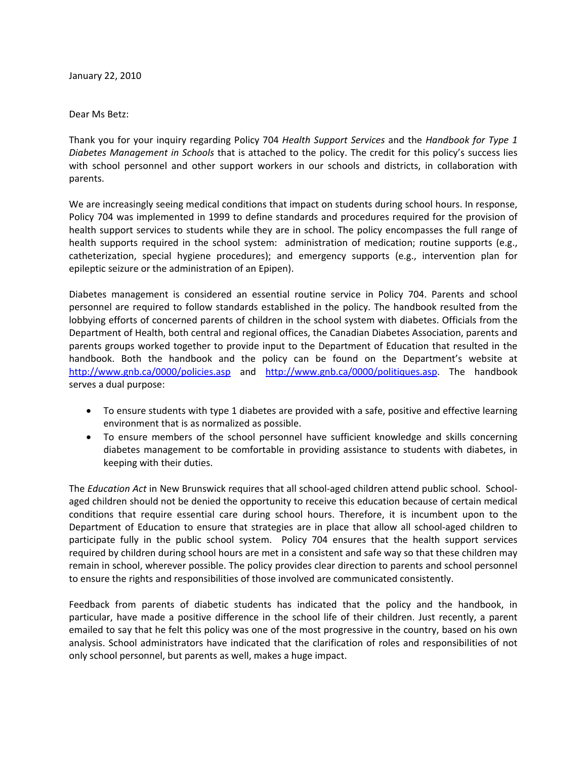January 22, 2010

## Dear Ms Betz:

Thank you for your inquiry regarding Policy 704 *Health Support Services* and the *Handbook for Type 1 Diabetes Management in Schools* that is attached to the policy. The credit for this policy's success lies with school personnel and other support workers in our schools and districts, in collaboration with parents.

We are increasingly seeing medical conditions that impact on students during school hours. In response, Policy 704 was implemented in 1999 to define standards and procedures required for the provision of health support services to students while they are in school. The policy encompasses the full range of health supports required in the school system: administration of medication; routine supports (e.g., catheterization, special hygiene procedures); and emergency supports (e.g., intervention plan for epileptic seizure or the administration of an Epipen).

Diabetes management is considered an essential routine service in Policy 704. Parents and school personnel are required to follow standards established in the policy. The handbook resulted from the lobbying efforts of concerned parents of children in the school system with diabetes. Officials from the Department of Health, both central and regional offices, the Canadian Diabetes Association, parents and parents groups worked together to provide input to the Department of Education that resulted in the handbook. Both the handbook and the policy can be found on the Department's website at http://www.gnb.ca/0000/policies.asp and http://www.gnb.ca/0000/politiques.asp. The handbook serves a dual purpose:

- To ensure students with type 1 diabetes are provided with a safe, positive and effective learning environment that is as normalized as possible.
- To ensure members of the school personnel have sufficient knowledge and skills concerning diabetes management to be comfortable in providing assistance to students with diabetes, in keeping with their duties.

The *Education Act* in New Brunswick requires that all school‐aged children attend public school. School‐ aged children should not be denied the opportunity to receive this education because of certain medical conditions that require essential care during school hours. Therefore, it is incumbent upon to the Department of Education to ensure that strategies are in place that allow all school‐aged children to participate fully in the public school system. Policy 704 ensures that the health support services required by children during school hours are met in a consistent and safe way so that these children may remain in school, wherever possible. The policy provides clear direction to parents and school personnel to ensure the rights and responsibilities of those involved are communicated consistently.

Feedback from parents of diabetic students has indicated that the policy and the handbook, in particular, have made a positive difference in the school life of their children. Just recently, a parent emailed to say that he felt this policy was one of the most progressive in the country, based on his own analysis. School administrators have indicated that the clarification of roles and responsibilities of not only school personnel, but parents as well, makes a huge impact.